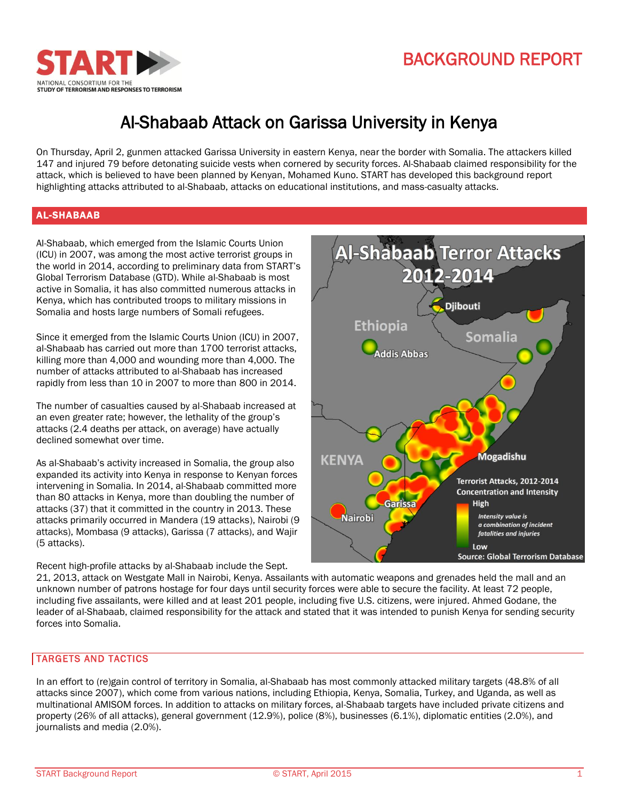



# Al-Shabaab Attack on Garissa University in Kenya

On Thursday, April 2, gunmen attacked Garissa University in eastern Kenya, near the border with Somalia. The attackers killed 147 and injured 79 before detonating suicide vests when cornered by security forces. Al-Shabaab claimed responsibility for the attack, which is believed to have been planned by Kenyan, Mohamed Kuno. START has developed this background report highlighting attacks attributed to al-Shabaab, attacks on educational institutions, and mass-casualty attacks.

# AL-SHABAAB

Al-Shabaab, which emerged from the Islamic Courts Union (ICU) in 2007, was among the most active terrorist groups in the world in 2014, according to preliminary data from START's Global Terrorism Database (GTD). While al-Shabaab is most active in Somalia, it has also committed numerous attacks in Kenya, which has contributed troops to military missions in Somalia and hosts large numbers of Somali refugees.

Since it emerged from the Islamic Courts Union (ICU) in 2007, al-Shabaab has carried out more than 1700 terrorist attacks, killing more than 4,000 and wounding more than 4,000. The number of attacks attributed to al-Shabaab has increased rapidly from less than 10 in 2007 to more than 800 in 2014.

The number of casualties caused by al-Shabaab increased at an even greater rate; however, the lethality of the group's attacks (2.4 deaths per attack, on average) have actually declined somewhat over time.

As al-Shabaab's activity increased in Somalia, the group also expanded its activity into Kenya in response to Kenyan forces intervening in Somalia. In 2014, al-Shabaab committed more than 80 attacks in Kenya, more than doubling the number of attacks (37) that it committed in the country in 2013. These attacks primarily occurred in Mandera (19 attacks), Nairobi (9 attacks), Mombasa (9 attacks), Garissa (7 attacks), and Wajir (5 attacks).

Recent high-profile attacks by al-Shabaab include the Sept.



21, 2013, attack on Westgate Mall in Nairobi, Kenya. Assailants with automatic weapons and grenades held the mall and an unknown number of patrons hostage for four days until security forces were able to secure the facility. At least 72 people, including five assailants, were killed and at least 201 people, including five U.S. citizens, were injured. Ahmed Godane, the leader of al-Shabaab, claimed responsibility for the attack and stated that it was intended to punish Kenya for sending security forces into Somalia.

## TARGETS AND TACTICS

In an effort to (re)gain control of territory in Somalia, al-Shabaab has most commonly attacked military targets (48.8% of all attacks since 2007), which come from various nations, including Ethiopia, Kenya, Somalia, Turkey, and Uganda, as well as multinational AMISOM forces. In addition to attacks on military forces, al-Shabaab targets have included private citizens and property (26% of all attacks), general government (12.9%), police (8%), businesses (6.1%), diplomatic entities (2.0%), and journalists and media (2.0%).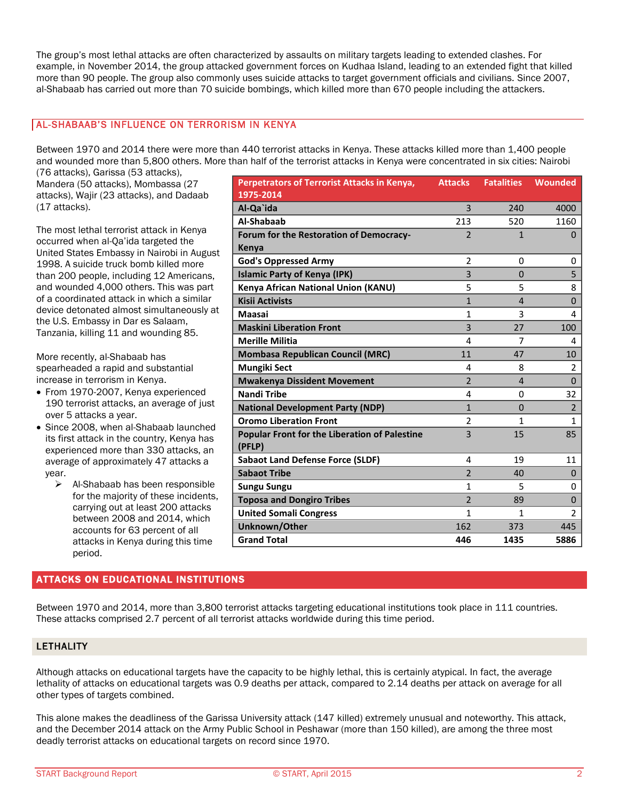The group's most lethal attacks are often characterized by assaults on military targets leading to extended clashes. For example, in November 2014, the group attacked government forces on Kudhaa Island, leading to an extended fight that killed more than 90 people. The group also commonly uses suicide attacks to target government officials and civilians. Since 2007, al-Shabaab has carried out more than 70 suicide bombings, which killed more than 670 people including the attackers.

#### AL-SHABAAB'S INFLUENCE ON TERRORISM IN KENYA

Between 1970 and 2014 there were more than 440 terrorist attacks in Kenya. These attacks killed more than 1,400 people and wounded more than 5,800 others. More than half of the terrorist attacks in Kenya were concentrated in six cities: Nairobi

(76 attacks), Garissa (53 attacks), Mandera (50 attacks), Mombassa (27 attacks), Wajir (23 attacks), and Dadaab (17 attacks).

The most lethal terrorist attack in Kenya occurred when al-Qa'ida targeted the United States Embassy in Nairobi in August 1998. A suicide truck bomb killed more than 200 people, including 12 Americans, and wounded 4,000 others. This was part of a coordinated attack in which a similar device detonated almost simultaneously at the U.S. Embassy in Dar es Salaam, Tanzania, killing 11 and wounding 85.

More recently, al-Shabaab has spearheaded a rapid and substantial increase in terrorism in Kenya.

- From 1970-2007, Kenya experienced 190 terrorist attacks, an average of just over 5 attacks a year.
- Since 2008, when al-Shabaab launched its first attack in the country, Kenya has experienced more than 330 attacks, an average of approximately 47 attacks a year.
	- $\triangleright$  Al-Shabaab has been responsible for the majority of these incidents, carrying out at least 200 attacks between 2008 and 2014, which accounts for 63 percent of all attacks in Kenya during this time period.

# ATTACKS ON EDUCATIONAL INSTITUTIONS

| <b>Perpetrators of Terrorist Attacks in Kenya,</b>   | <b>Attacks</b> | <b>Fatalities</b> | Wounded        |
|------------------------------------------------------|----------------|-------------------|----------------|
| 1975-2014                                            |                |                   |                |
| Al-Qa`ida                                            | 3              | 240               | 4000           |
| Al-Shabaab                                           | 213            | 520               | 1160           |
| Forum for the Restoration of Democracy-              | $\overline{2}$ | 1                 | 0              |
| Kenya                                                |                |                   |                |
| <b>God's Oppressed Army</b>                          | $\overline{2}$ | 0                 | 0              |
| <b>Islamic Party of Kenya (IPK)</b>                  | 3              | $\Omega$          | 5              |
| Kenya African National Union (KANU)                  | 5              | 5                 | 8              |
| <b>Kisii Activists</b>                               | $\mathbf{1}$   | $\overline{4}$    | $\Omega$       |
| Maasai                                               | $\mathbf{1}$   | 3                 | 4              |
| <b>Maskini Liberation Front</b>                      | 3              | 27                | 100            |
| <b>Merille Militia</b>                               | 4              | 7                 | 4              |
| <b>Mombasa Republican Council (MRC)</b>              | 11             | 47                | 10             |
| <b>Mungiki Sect</b>                                  | 4              | 8                 | 2              |
| <b>Mwakenya Dissident Movement</b>                   | $\mathfrak{p}$ | $\overline{4}$    | $\Omega$       |
| <b>Nandi Tribe</b>                                   | 4              | 0                 | 32             |
| <b>National Development Party (NDP)</b>              | $\mathbf{1}$   | $\Omega$          | $\overline{2}$ |
| <b>Oromo Liberation Front</b>                        | $\overline{2}$ | 1                 | 1              |
| <b>Popular Front for the Liberation of Palestine</b> | $\overline{3}$ | 15                | 85             |
| (PFLP)                                               |                |                   |                |
| <b>Sabaot Land Defense Force (SLDF)</b>              | 4              | 19                | 11             |
| <b>Sabaot Tribe</b>                                  | $\overline{2}$ | 40                | $\Omega$       |
| <b>Sungu Sungu</b>                                   | 1              | 5                 | 0              |
| <b>Toposa and Dongiro Tribes</b>                     | $\overline{2}$ | 89                | $\Omega$       |
| <b>United Somali Congress</b>                        | 1              | $\mathbf{1}$      | $\mathcal{P}$  |
| Unknown/Other                                        | 162            | 373               | 445            |
| <b>Grand Total</b>                                   | 446            | 1435              | 5886           |

Between 1970 and 2014, more than 3,800 terrorist attacks targeting educational institutions took place in 111 countries. These attacks comprised 2.7 percent of all terrorist attacks worldwide during this time period.

## LETHALITY

Although attacks on educational targets have the capacity to be highly lethal, this is certainly atypical. In fact, the average lethality of attacks on educational targets was 0.9 deaths per attack, compared to 2.14 deaths per attack on average for all other types of targets combined.

This alone makes the deadliness of the Garissa University attack (147 killed) extremely unusual and noteworthy. This attack, and the December 2014 attack on the Army Public School in Peshawar (more than 150 killed), are among the three most deadly terrorist attacks on educational targets on record since 1970.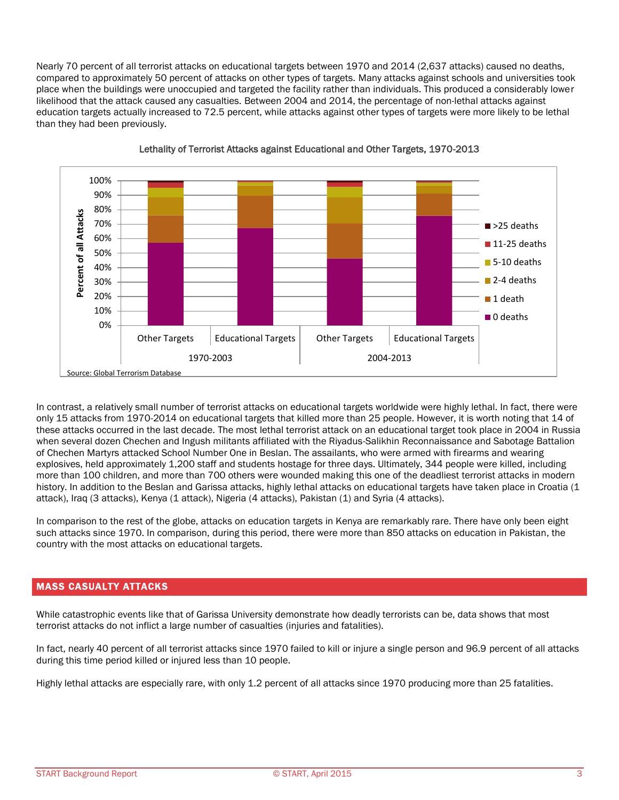Nearly 70 percent of all terrorist attacks on educational targets between 1970 and 2014 (2,637 attacks) caused no deaths, compared to approximately 50 percent of attacks on other types of targets. Many attacks against schools and universities took place when the buildings were unoccupied and targeted the facility rather than individuals. This produced a considerably lower likelihood that the attack caused any casualties. Between 2004 and 2014, the percentage of non-lethal attacks against education targets actually increased to 72.5 percent, while attacks against other types of targets were more likely to be lethal than they had been previously.





In contrast, a relatively small number of terrorist attacks on educational targets worldwide were highly lethal. In fact, there were only 15 attacks from 1970-2014 on educational targets that killed more than 25 people. However, it is worth noting that 14 of these attacks occurred in the last decade. The most lethal terrorist attack on an educational target took place in 2004 in Russia when several dozen Chechen and Ingush militants affiliated with the Riyadus-Salikhin Reconnaissance and Sabotage Battalion of Chechen Martyrs attacked School Number One in Beslan. The assailants, who were armed with firearms and wearing explosives, held approximately 1,200 staff and students hostage for three days. Ultimately, 344 people were killed, including more than 100 children, and more than 700 others were wounded making this one of the deadliest terrorist attacks in modern history. In addition to the Beslan and Garissa attacks, highly lethal attacks on educational targets have taken place in Croatia (1 attack), Iraq (3 attacks), Kenya (1 attack), Nigeria (4 attacks), Pakistan (1) and Syria (4 attacks).

In comparison to the rest of the globe, attacks on education targets in Kenya are remarkably rare. There have only been eight such attacks since 1970. In comparison, during this period, there were more than 850 attacks on education in Pakistan, the country with the most attacks on educational targets.

## MASS CASUALTY ATTACKS

While catastrophic events like that of Garissa University demonstrate how deadly terrorists can be, data shows that most terrorist attacks do not inflict a large number of casualties (injuries and fatalities).

In fact, nearly 40 percent of all terrorist attacks since 1970 failed to kill or injure a single person and 96.9 percent of all attacks during this time period killed or injured less than 10 people.

Highly lethal attacks are especially rare, with only 1.2 percent of all attacks since 1970 producing more than 25 fatalities.